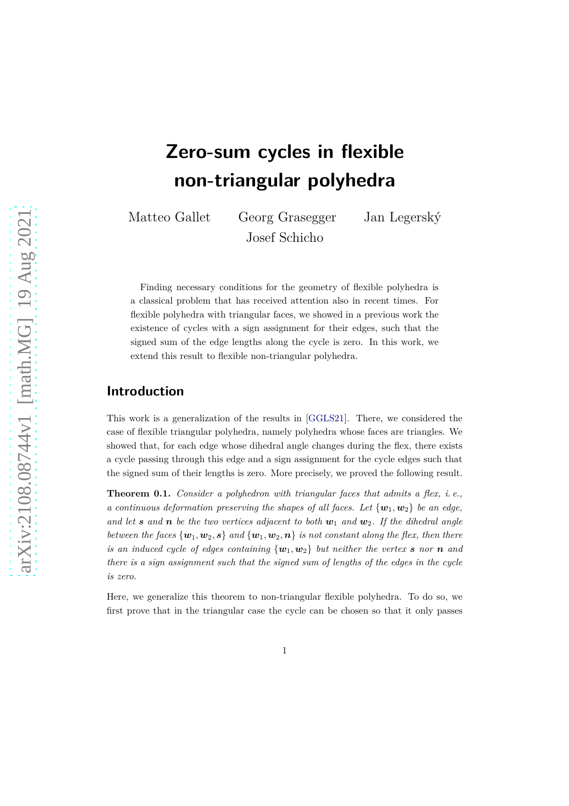# **Zero-sum cycles in flexible non-triangular polyhedra**

Matteo Gallet Georg Grasegger Jan Legerský Josef Schicho

Finding necessary conditions for the geometry of flexible polyhedra is a classical problem that has received attention also in recent times. For flexible polyhedra with triangular faces, we showed in a previous work the existence of cycles with a sign assignment for their edges, such that the signed sum of the edge lengths along the cycle is zero. In this work, we extend this result to flexible non-triangular polyhedra.

### **Introduction**

This work is a generalization of the results in [\[GGLS21\]](#page-8-0). There, we considered the case of flexible triangular polyhedra, namely polyhedra whose faces are triangles. We showed that, for each edge whose dihedral angle changes during the flex, there exists a cycle passing through this edge and a sign assignment for the cycle edges such that the signed sum of their lengths is zero. More precisely, we proved the following result.

**Theorem 0.1.** *Consider a polyhedron with triangular faces that admits a flex, i. e., a continuous deformation preserving the shapes of all faces. Let*  $\{w_1, w_2\}$  *be an edge, and let s and n be the two vertices adjacent to both*  $w_1$  *and*  $w_2$ *. If the dihedral angle between the faces*  $\{w_1, w_2, s\}$  *and*  $\{w_1, w_2, n\}$  *is not constant along the flex, then there is an induced cycle of edges containing*  $\{w_1, w_2\}$  *but neither the vertex s nor n and there is a sign assignment such that the signed sum of lengths of the edges in the cycle is zero.*

Here, we generalize this theorem to non-triangular flexible polyhedra. To do so, we first prove that in the triangular case the cycle can be chosen so that it only passes

1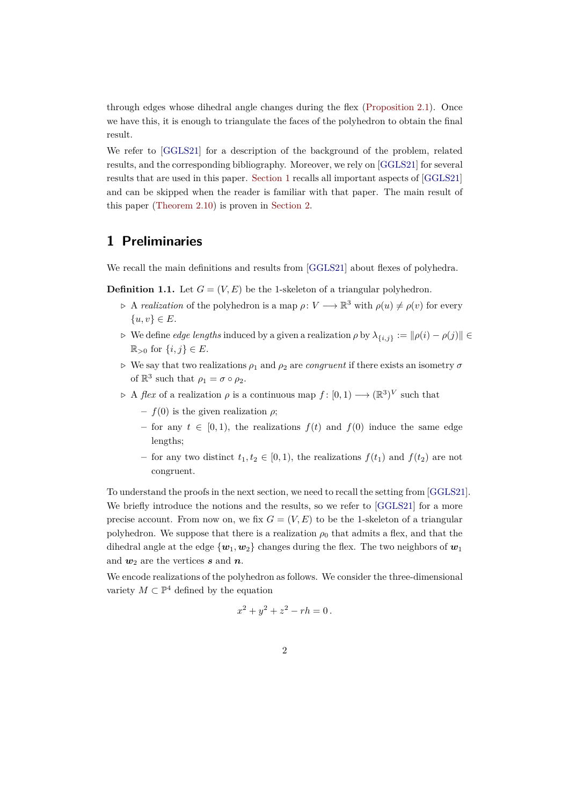through edges whose dihedral angle changes during the flex [\(Proposition 2.1\)](#page-3-0). Once we have this, it is enough to triangulate the faces of the polyhedron to obtain the final result.

We refer to [\[GGLS21\]](#page-8-0) for a description of the background of the problem, related results, and the corresponding bibliography. Moreover, we rely on [\[GGLS21\]](#page-8-0) for several results that are used in this paper. [Section 1](#page-1-0) recalls all important aspects of [\[GGLS21\]](#page-8-0) and can be skipped when the reader is familiar with that paper. The main result of this paper [\(Theorem 2.10\)](#page-7-0) is proven in [Section 2.](#page-3-1)

#### <span id="page-1-0"></span>**1 Preliminaries**

We recall the main definitions and results from [\[GGLS21\]](#page-8-0) about flexes of polyhedra.

**Definition 1.1.** Let  $G = (V, E)$  be the 1-skeleton of a triangular polyhedron.

- $\triangleright$  A *realization* of the polyhedron is a map  $\rho: V \longrightarrow \mathbb{R}^3$  with  $\rho(u) \neq \rho(v)$  for every  $\{u, v\} \in E$ .
- $\rho$  We define *edge lengths* induced by a given a realization *ρ* by  $\lambda_{\{i,j\}} := ||\rho(i) \rho(j)||$  ∈  $\mathbb{R}_{>0}$  for  $\{i, j\} \in E$ .
- *⊲* We say that two realizations *ρ*<sup>1</sup> and *ρ*<sup>2</sup> are *congruent* if there exists an isometry *σ* of  $\mathbb{R}^3$  such that  $\rho_1 = \sigma \circ \rho_2$ .
- $\varphi$  A *flex* of a realization  $\rho$  is a continuous map  $f: [0,1) \longrightarrow (\mathbb{R}^3)^V$  such that
	- **–** *f*(0) is the given realization *ρ*;
	- **–** for any *t* ∈ [0*,* 1), the realizations *f*(*t*) and *f*(0) induce the same edge lengths;
	- **–** for any two distinct *t*1*, t*<sup>2</sup> ∈ [0*,* 1), the realizations *f*(*t*1) and *f*(*t*2) are not congruent.

To understand the proofs in the next section, we need to recall the setting from [\[GGLS21\]](#page-8-0). We briefly introduce the notions and the results, so we refer to [\[GGLS21\]](#page-8-0) for a more precise account. From now on, we fix  $G = (V, E)$  to be the 1-skeleton of a triangular polyhedron. We suppose that there is a realization  $\rho_0$  that admits a flex, and that the dihedral angle at the edge  $\{w_1, w_2\}$  changes during the flex. The two neighbors of  $w_1$ and  $w_2$  are the vertices **s** and **n**.

We encode realizations of the polyhedron as follows. We consider the three-dimensional variety  $M \subset \mathbb{P}^4$  defined by the equation

$$
x^2 + y^2 + z^2 - rh = 0.
$$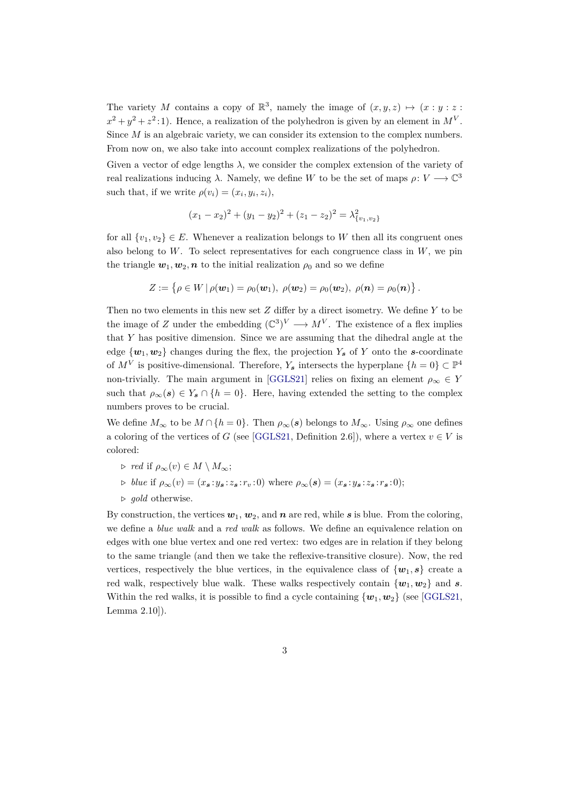The variety *M* contains a copy of  $\mathbb{R}^3$ , namely the image of  $(x, y, z) \mapsto (x : y : z : z)$  $x^2 + y^2 + z^2$ : 1). Hence, a realization of the polyhedron is given by an element in  $M^V$ . Since *M* is an algebraic variety, we can consider its extension to the complex numbers. From now on, we also take into account complex realizations of the polyhedron.

Given a vector of edge lengths *λ*, we consider the complex extension of the variety of real realizations inducing  $\lambda$ . Namely, we define *W* to be the set of maps  $\rho: V \longrightarrow \mathbb{C}^3$ such that, if we write  $\rho(v_i) = (x_i, y_i, z_i)$ ,

$$
(x_1 - x_2)^2 + (y_1 - y_2)^2 + (z_1 - z_2)^2 = \lambda_{\{v_1, v_2\}}^2
$$

for all  $\{v_1, v_2\} \in E$ . Whenever a realization belongs to *W* then all its congruent ones also belong to  $W$ . To select representatives for each congruence class in  $W$ , we pin the triangle  $w_1, w_2, n$  to the initial realization  $\rho_0$  and so we define

$$
Z := \{ \rho \in W \, | \, \rho(\boldsymbol{w}_1) = \rho_0(\boldsymbol{w}_1), \ \rho(\boldsymbol{w}_2) = \rho_0(\boldsymbol{w}_2), \ \rho(\boldsymbol{n}) = \rho_0(\boldsymbol{n}) \} .
$$

Then no two elements in this new set *Z* differ by a direct isometry. We define *Y* to be the image of *Z* under the embedding  $(\mathbb{C}^3)^V \longrightarrow M^V$ . The existence of a flex implies that *Y* has positive dimension. Since we are assuming that the dihedral angle at the edge  $\{w_1, w_2\}$  changes during the flex, the projection  $Y_s$  of Y onto the *s*-coordinate of  $M^V$  is positive-dimensional. Therefore,  $Y_s$  intersects the hyperplane  $\{h=0\} \subset \mathbb{P}^4$ non-trivially. The main argument in [\[GGLS21\]](#page-8-0) relies on fixing an element  $\rho_{\infty} \in Y$ such that  $\rho_{\infty}(s) \in Y_s \cap \{h=0\}$ . Here, having extended the setting to the complex numbers proves to be crucial.

We define  $M_{\infty}$  to be  $M \cap \{h = 0\}$ . Then  $\rho_{\infty}(s)$  belongs to  $M_{\infty}$ . Using  $\rho_{\infty}$  one defines a coloring of the vertices of *G* (see [\[GGLS21,](#page-8-0) Definition 2.6]), where a vertex  $v \in V$  is colored:

- $\rhd$  *red* if  $\rho_{\infty}(v) \in M \setminus M_{\infty};$
- $\triangleright$  blue if  $\rho_{\infty}(v) = (x_s, y_s; z_s; r_v; 0)$  where  $\rho_{\infty}(s) = (x_s, y_s; z_s; r_s; 0);$
- *⊲ gold* otherwise.

By construction, the vertices  $w_1, w_2$ , and  $n$  are red, while  $s$  is blue. From the coloring, we define a *blue walk* and a *red walk* as follows. We define an equivalence relation on edges with one blue vertex and one red vertex: two edges are in relation if they belong to the same triangle (and then we take the reflexive-transitive closure). Now, the red vertices, respectively the blue vertices, in the equivalence class of  $\{w_1, s\}$  create a red walk, respectively blue walk. These walks respectively contain  $\{w_1, w_2\}$  and *s*. Within the red walks, it is possible to find a cycle containing  $\{w_1, w_2\}$  (see [\[GGLS21,](#page-8-0) Lemma 2.10]).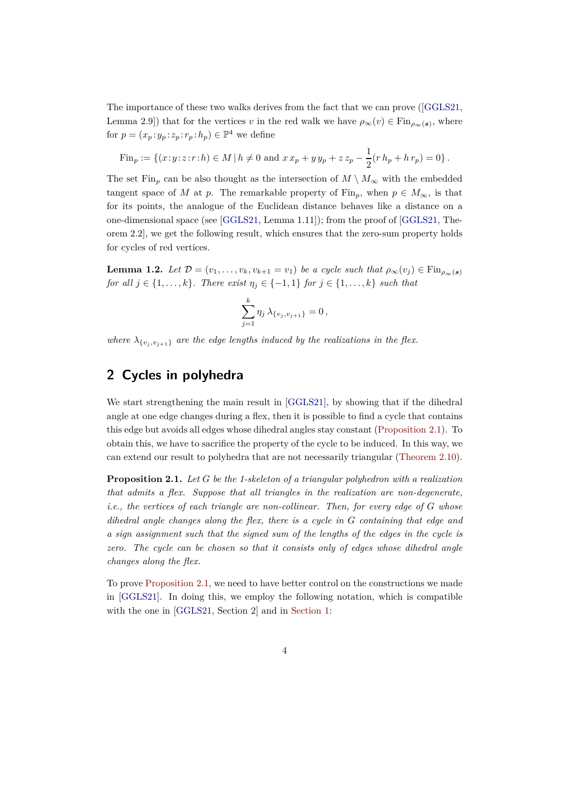The importance of these two walks derives from the fact that we can prove ([\[GGLS21,](#page-8-0) Lemma 2.9]) that for the vertices *v* in the red walk we have  $\rho_{\infty}(v) \in \text{Fin}_{\rho_{\infty}(s)}$ , where for  $p = (x_p : y_p : z_p : r_p : h_p) \in \mathbb{P}^4$  we define

Fin<sub>p</sub> := {
$$
(x:y:z:r:h) \in M \mid h \neq 0
$$
 and  $x x_p + y y_p + z z_p - \frac{1}{2}(r h_p + h r_p) = 0$  }.

The set Fin<sub>p</sub> can be also thought as the intersection of  $M \setminus M_{\infty}$  with the embedded tangent space of *M* at *p*. The remarkable property of Fin<sub>p</sub>, when  $p \in M_{\infty}$ , is that for its points, the analogue of the Euclidean distance behaves like a distance on a one-dimensional space (see [\[GGLS21,](#page-8-0) Lemma 1.11]); from the proof of [\[GGLS21,](#page-8-0) Theorem 2.2], we get the following result, which ensures that the zero-sum property holds for cycles of red vertices.

<span id="page-3-2"></span>**Lemma 1.2.** *Let*  $\mathcal{D} = (v_1, \ldots, v_k, v_{k+1} = v_1)$  *be a cycle such that*  $\rho_{\infty}(v_j) \in \text{Fin}_{\rho_{\infty}(s)}$ *for all*  $j \in \{1, ..., k\}$ *. There exist*  $\eta_j \in \{-1, 1\}$  *for*  $j \in \{1, ..., k\}$  *such that* 

$$
\sum_{j=1}^k \eta_j \, \lambda_{\{v_j, v_{j+1}\}} = 0 \,,
$$

<span id="page-3-1"></span>*where*  $\lambda_{\{v_i, v_{i+1}\}}$  *are the edge lengths induced by the realizations in the flex.* 

# **2 Cycles in polyhedra**

We start strengthening the main result in [\[GGLS21\]](#page-8-0), by showing that if the dihedral angle at one edge changes during a flex, then it is possible to find a cycle that contains this edge but avoids all edges whose dihedral angles stay constant [\(Proposition 2.1\)](#page-3-0). To obtain this, we have to sacrifice the property of the cycle to be induced. In this way, we can extend our result to polyhedra that are not necessarily triangular [\(Theorem 2.10\)](#page-7-0).

<span id="page-3-0"></span>**Proposition 2.1.** *Let G be the 1-skeleton of a triangular polyhedron with a realization that admits a flex. Suppose that all triangles in the realization are non-degenerate, i.e., the vertices of each triangle are non-collinear. Then, for every edge of G whose dihedral angle changes along the flex, there is a cycle in G containing that edge and a sign assignment such that the signed sum of the lengths of the edges in the cycle is zero. The cycle can be chosen so that it consists only of edges whose dihedral angle changes along the flex.*

To prove [Proposition 2.1,](#page-3-0) we need to have better control on the constructions we made in [\[GGLS21\]](#page-8-0). In doing this, we employ the following notation, which is compatible with the one in [\[GGLS21,](#page-8-0) Section 2] and in [Section 1:](#page-1-0)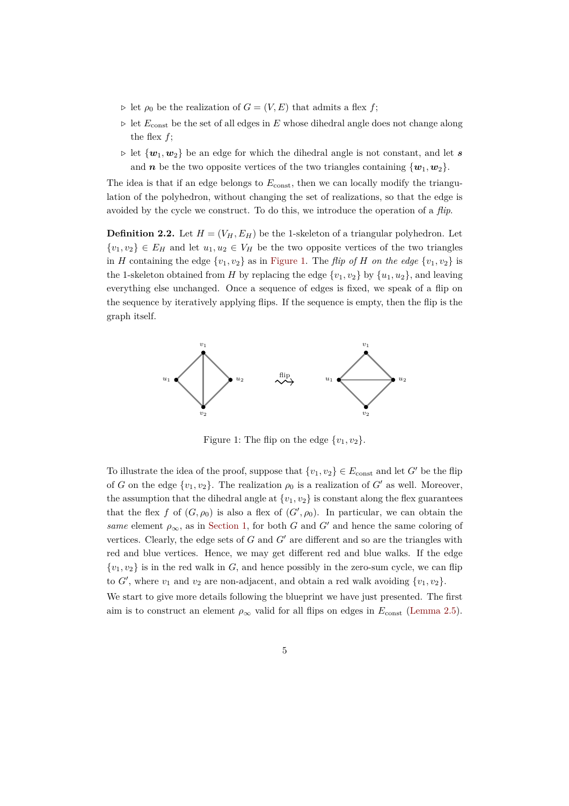- $\rho$  let  $\rho_0$  be the realization of  $G = (V, E)$  that admits a flex *f*;
- *⊲* let *E*const be the set of all edges in *E* whose dihedral angle does not change along the flex  $f$ ;
- *⊲* let {*w*1*, w*2} be an edge for which the dihedral angle is not constant, and let *s* and *n* be the two opposite vertices of the two triangles containing  $\{w_1, w_2\}$ .

The idea is that if an edge belongs to  $E_{\text{const}}$ , then we can locally modify the triangulation of the polyhedron, without changing the set of realizations, so that the edge is avoided by the cycle we construct. To do this, we introduce the operation of a *flip*.

**Definition 2.2.** Let  $H = (V_H, E_H)$  be the 1-skeleton of a triangular polyhedron. Let  $\{v_1, v_2\} \in E_H$  and let  $u_1, u_2 \in V_H$  be the two opposite vertices of the two triangles in *H* containing the edge  $\{v_1, v_2\}$  as in [Figure 1.](#page-4-0) The *flip of H on the edge*  $\{v_1, v_2\}$  is the 1-skeleton obtained from *H* by replacing the edge  $\{v_1, v_2\}$  by  $\{u_1, u_2\}$ , and leaving everything else unchanged. Once a sequence of edges is fixed, we speak of a flip on the sequence by iteratively applying flips. If the sequence is empty, then the flip is the graph itself.



<span id="page-4-0"></span>Figure 1: The flip on the edge  $\{v_1, v_2\}.$ 

To illustrate the idea of the proof, suppose that  $\{v_1, v_2\} \in E_{\text{const}}$  and let *G'* be the flip of *G* on the edge  $\{v_1, v_2\}$ . The realization  $\rho_0$  is a realization of *G'* as well. Moreover, the assumption that the dihedral angle at  $\{v_1, v_2\}$  is constant along the flex guarantees that the flex *f* of  $(G, \rho_0)$  is also a flex of  $(G', \rho_0)$ . In particular, we can obtain the *same* element  $\rho_{\infty}$ , as in [Section 1,](#page-1-0) for both *G* and *G*<sup> $\prime$ </sup> and hence the same coloring of vertices. Clearly, the edge sets of *G* and *G*′ are different and so are the triangles with red and blue vertices. Hence, we may get different red and blue walks. If the edge  $\{v_1, v_2\}$  is in the red walk in *G*, and hence possibly in the zero-sum cycle, we can flip to  $G'$ , where  $v_1$  and  $v_2$  are non-adjacent, and obtain a red walk avoiding  $\{v_1, v_2\}$ .

We start to give more details following the blueprint we have just presented. The first aim is to construct an element  $\rho_{\infty}$  valid for all flips on edges in  $E_{\text{const}}$  [\(Lemma 2.5\)](#page-5-0).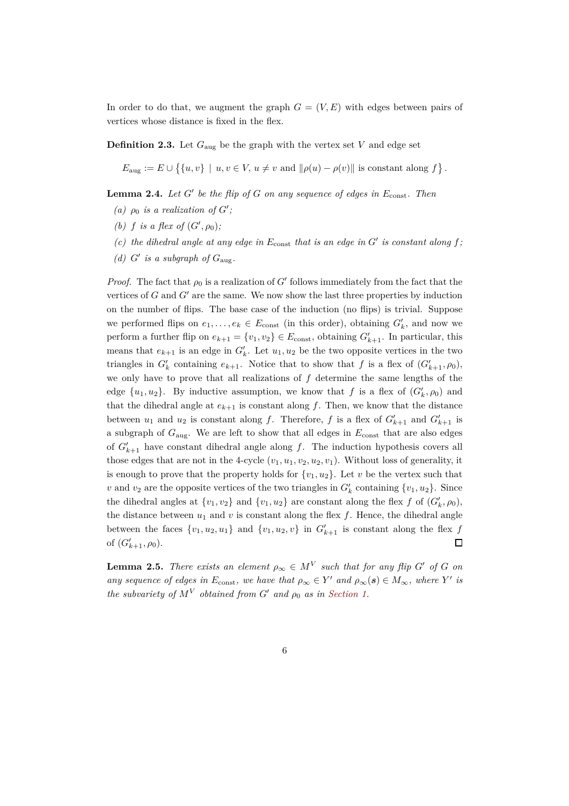In order to do that, we augment the graph  $G = (V, E)$  with edges between pairs of vertices whose distance is fixed in the flex.

**Definition 2.3.** Let  $G_{\text{aug}}$  be the graph with the vertex set *V* and edge set

$$
E_{\text{aug}} := E \cup \{ \{u, v\} \mid u, v \in V, u \neq v \text{ and } ||\rho(u) - \rho(v)|| \text{ is constant along } f \}.
$$

<span id="page-5-1"></span>**Lemma 2.4.** *Let G*′ *be the flip of G on any sequence of edges in E*const*. Then*

- (a)  $\rho_0$  *is a realization of*  $G'$ ;
- *(b) f is a flex of*  $(G', \rho_0)$ *;*
- <span id="page-5-2"></span>(c) the dihedral angle at any edge in  $E_{\text{const}}$  that is an edge in  $G'$  is constant along  $f$ ;
- (*d*)  $G'$  is a subgraph of  $G_{\text{aug}}$ .

*Proof.* The fact that  $\rho_0$  is a realization of *G'* follows immediately from the fact that the vertices of *G* and *G*′ are the same. We now show the last three properties by induction on the number of flips. The base case of the induction (no flips) is trivial. Suppose we performed flips on  $e_1, \ldots, e_k \in E_{\text{const}}$  (in this order), obtaining  $G'_k$ , and now we perform a further flip on  $e_{k+1} = \{v_1, v_2\} \in E_{\text{const}}$ , obtaining  $G'_{k+1}$ . In particular, this means that  $e_{k+1}$  is an edge in  $G'_{k}$ . Let  $u_1, u_2$  be the two opposite vertices in the two triangles in  $G'_{k}$  containing  $e_{k+1}$ . Notice that to show that *f* is a flex of  $(G'_{k+1}, \rho_0)$ , we only have to prove that all realizations of *f* determine the same lengths of the edge  $\{u_1, u_2\}$ . By inductive assumption, we know that *f* is a flex of  $(G'_{k}, \rho_0)$  and that the dihedral angle at  $e_{k+1}$  is constant along  $f$ . Then, we know that the distance between  $u_1$  and  $u_2$  is constant along *f*. Therefore, *f* is a flex of  $G'_{k+1}$  and  $G'_{k+1}$  is a subgraph of *G*aug. We are left to show that all edges in *E*const that are also edges of  $G'_{k+1}$  have constant dihedral angle along  $f$ . The induction hypothesis covers all those edges that are not in the 4-cycle  $(v_1, u_1, v_2, u_2, v_1)$ . Without loss of generality, it is enough to prove that the property holds for  $\{v_1, u_2\}$ . Let *v* be the vertex such that *v* and *v*<sub>2</sub> are the opposite vertices of the two triangles in  $G'_{k}$  containing  $\{v_1, u_2\}$ . Since the dihedral angles at  $\{v_1, v_2\}$  and  $\{v_1, u_2\}$  are constant along the flex *f* of  $(G'_k, \rho_0)$ , the distance between  $u_1$  and  $v$  is constant along the flex  $f$ . Hence, the dihedral angle between the faces  $\{v_1, u_2, u_1\}$  and  $\{v_1, u_2, v\}$  in  $G'_{k+1}$  is constant along the flex  $f$ of  $(G'_{k+1}, \rho_0)$ .  $\Box$ 

<span id="page-5-0"></span>**Lemma 2.5.** *There exists an element*  $\rho_{\infty} \in M^V$  *such that for any flip G*<sup>'</sup> *of G on any sequence of edges in*  $E_{\text{const}}$ *, we have that*  $\rho_{\infty} \in Y'$  *and*  $\rho_{\infty}(s) \in M_{\infty}$ *, where*  $Y'$  *is the subvariety of*  $M^V$  *obtained from*  $G'$  *and*  $\rho_0$  *as in [Section 1.](#page-1-0)*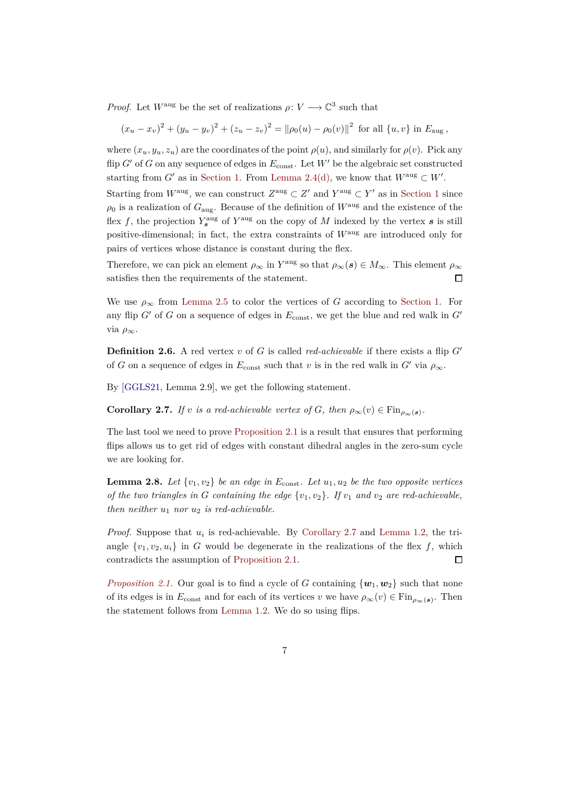*Proof.* Let  $W^{\text{aug}}$  be the set of realizations  $\rho: V \longrightarrow \mathbb{C}^3$  such that

 $(x_u - x_v)^2 + (y_u - y_v)^2 + (z_u - z_v)^2 = ||\rho_0(u) - \rho_0(v)||^2$  for all  $\{u, v\}$  in  $E_{\text{aug}}$ ,

where  $(x_u, y_u, z_u)$  are the coordinates of the point  $\rho(u)$ , and similarly for  $\rho(v)$ . Pick any flip  $G'$  of  $G$  on any sequence of edges in  $E_{\text{const}}$ . Let  $W'$  be the algebraic set constructed starting from *G'* as in [Section 1.](#page-1-0) From [Lemma 2.4](#page-5-1)[\(d\),](#page-5-2) we know that  $W^{\text{aug}} \subset W'$ .

Starting from  $W^{\text{aug}}$ , we can construct  $Z^{\text{aug}} \subset Z'$  and  $Y^{\text{aug}} \subset Y'$  as in [Section 1](#page-1-0) since  $\rho_0$  is a realization of  $G_{\text{aug}}$ . Because of the definition of  $W^{\text{aug}}$  and the existence of the flex f, the projection  $Y_s^{\text{aug}}$  of  $Y^{\text{aug}}$  on the copy of M indexed by the vertex s is still positive-dimensional; in fact, the extra constraints of *W*aug are introduced only for pairs of vertices whose distance is constant during the flex.

Therefore, we can pick an element  $\rho_{\infty}$  in  $Y^{\text{aug}}$  so that  $\rho_{\infty}(s) \in M_{\infty}$ . This element  $\rho_{\infty}$ satisfies then the requirements of the statement.  $\Box$ 

We use  $\rho_{\infty}$  from [Lemma 2.5](#page-5-0) to color the vertices of *G* according to [Section 1.](#page-1-0) For any flip  $G'$  of  $G$  on a sequence of edges in  $E_{\text{const}}$ , we get the blue and red walk in  $G'$ via *ρ*∞.

**Definition 2.6.** A red vertex *v* of *G* is called *red-achievable* if there exists a flip  $G'$ of *G* on a sequence of edges in  $E_{\text{const}}$  such that *v* is in the red walk in *G'* via  $\rho_{\infty}$ .

<span id="page-6-0"></span>By [\[GGLS21,](#page-8-0) Lemma 2.9], we get the following statement.

**Corollary 2.7.** *If v is a red-achievable vertex of G, then*  $\rho_{\infty}(v) \in \text{Fin}_{\rho_{\infty}(s)}$ .

The last tool we need to prove [Proposition 2.1](#page-3-0) is a result that ensures that performing flips allows us to get rid of edges with constant dihedral angles in the zero-sum cycle we are looking for.

<span id="page-6-1"></span>**Lemma 2.8.** Let  $\{v_1, v_2\}$  be an edge in  $E_{\text{const}}$ . Let  $u_1, u_2$  be the two opposite vertices *of the two triangles in G containing the edge*  $\{v_1, v_2\}$ *. If*  $v_1$  *and*  $v_2$  *are red-achievable, then neither*  $u_1$  *nor*  $u_2$  *is red-achievable.* 

*Proof.* Suppose that *u<sup>i</sup>* is red-achievable. By [Corollary 2.7](#page-6-0) and [Lemma 1.2,](#page-3-2) the triangle  $\{v_1, v_2, u_i\}$  in *G* would be degenerate in the realizations of the flex *f*, which contradicts the assumption of [Proposition 2.1.](#page-3-0)  $\Box$ 

*[Proposition 2.1.](#page-3-0)* Our goal is to find a cycle of *G* containing  $\{w_1, w_2\}$  such that none of its edges is in  $E_{\text{const}}$  and for each of its vertices *v* we have  $\rho_{\infty}(v) \in \text{Fin}_{\rho_{\infty}(s)}$ . Then the statement follows from [Lemma 1.2.](#page-3-2) We do so using flips.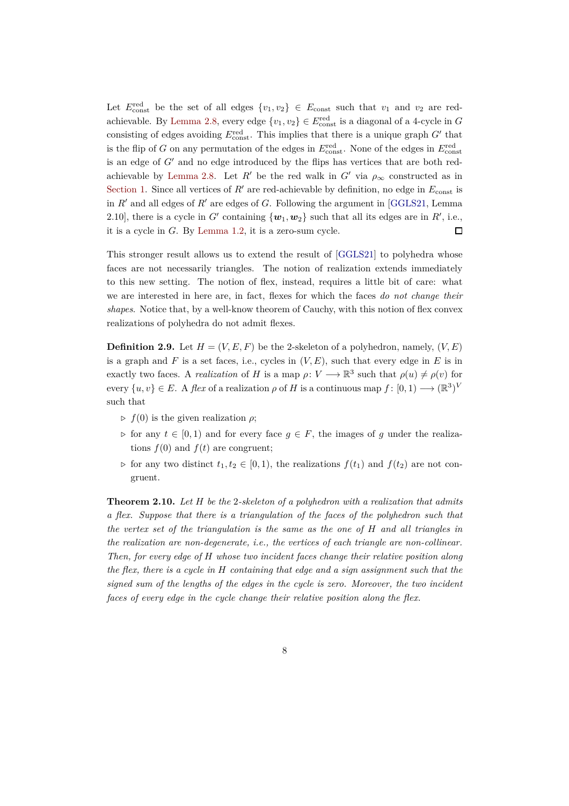Let  $E_{\text{const}}^{\text{red}}$  be the set of all edges  $\{v_1, v_2\} \in E_{\text{const}}$  such that  $v_1$  and  $v_2$  are red-achievable. By [Lemma 2.8,](#page-6-1) every edge  $\{v_1, v_2\} \in E_{\text{const}}^{\text{red}}$  is a diagonal of a 4-cycle in *G* consisting of edges avoiding  $E_{\text{const}}^{\text{red}}$ . This implies that there is a unique graph  $G'$  that is the flip of *G* on any permutation of the edges in  $E_{\text{const}}^{\text{red}}$ . None of the edges in  $E_{\text{const}}^{\text{red}}$ is an edge of *G*′ and no edge introduced by the flips has vertices that are both red-achievable by [Lemma 2.8.](#page-6-1) Let *R'* be the red walk in  $G'$  via  $\rho_{\infty}$  constructed as in [Section 1.](#page-1-0) Since all vertices of  $R'$  are red-achievable by definition, no edge in  $E_{\text{const}}$  is in *R*′ and all edges of *R*′ are edges of *G*. Following the argument in [\[GGLS21,](#page-8-0) Lemma 2.10], there is a cycle in  $G'$  containing  $\{w_1, w_2\}$  such that all its edges are in  $R'$ , i.e., it is a cycle in *G*. By [Lemma 1.2,](#page-3-2) it is a zero-sum cycle.  $\Box$ 

This stronger result allows us to extend the result of [\[GGLS21\]](#page-8-0) to polyhedra whose faces are not necessarily triangles. The notion of realization extends immediately to this new setting. The notion of flex, instead, requires a little bit of care: what we are interested in here are, in fact, flexes for which the faces *do not change their shapes*. Notice that, by a well-know theorem of Cauchy, with this notion of flex convex realizations of polyhedra do not admit flexes.

**Definition 2.9.** Let  $H = (V, E, F)$  be the 2-skeleton of a polyhedron, namely,  $(V, E)$ is a graph and  $F$  is a set faces, i.e., cycles in  $(V, E)$ , such that every edge in  $E$  is in exactly two faces. A *realization* of *H* is a map  $\rho: V \longrightarrow \mathbb{R}^3$  such that  $\rho(u) \neq \rho(v)$  for every  $\{u, v\} \in E$ . A *flex* of a realization  $\rho$  of *H* is a continuous map  $f : [0, 1) \longrightarrow (\mathbb{R}^3)^V$ such that

- $\rho f(0)$  is the given realization  $\rho$ ;
- $\rho$  for any  $t \in [0, 1)$  and for every face  $g \in F$ , the images of *g* under the realizations  $f(0)$  and  $f(t)$  are congruent;
- $\rho$  for any two distinct  $t_1, t_2 \in [0, 1)$ , the realizations  $f(t_1)$  and  $f(t_2)$  are not congruent.

<span id="page-7-0"></span>**Theorem 2.10.** *Let H be the* 2*-skeleton of a polyhedron with a realization that admits a flex. Suppose that there is a triangulation of the faces of the polyhedron such that the vertex set of the triangulation is the same as the one of H and all triangles in the realization are non-degenerate, i.e., the vertices of each triangle are non-collinear. Then, for every edge of H whose two incident faces change their relative position along the flex, there is a cycle in H containing that edge and a sign assignment such that the signed sum of the lengths of the edges in the cycle is zero. Moreover, the two incident faces of every edge in the cycle change their relative position along the flex.*